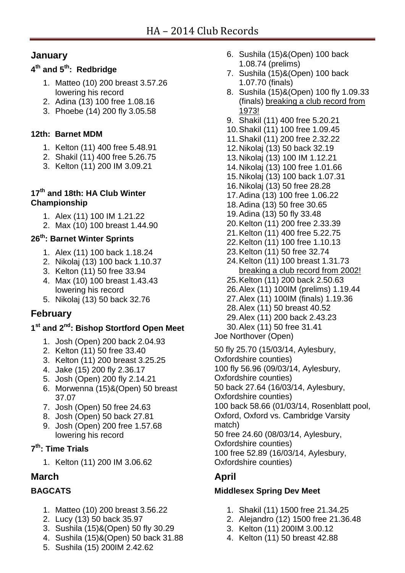# **January**

## **4 th and 5 th: Redbridge**

- 1. Matteo (10) 200 breast 3.57.26 lowering his record
- 2. Adina (13) 100 free 1.08.16
- 3. Phoebe (14) 200 fly 3.05.58

## **12th: Barnet MDM**

- 1. Kelton (11) 400 free 5.48.91
- 2. Shakil (11) 400 free 5.26.75
- 3. Kelton (11) 200 IM 3.09.21

#### **17th and 18th: HA Club Winter Championship**

- 1. Alex (11) 100 IM 1.21.22
- 2. Max (10) 100 breast 1.44.90

# **26th: Barnet Winter Sprints**

- 1. Alex (11) 100 back 1.18.24
- 2. Nikolaj (13) 100 back 1.10.37
- 3. Kelton (11) 50 free 33.94
- 4. Max (10) 100 breast 1.43.43 lowering his record
- 5. Nikolaj (13) 50 back 32.76

# **February**

### **1 st and 2nd: Bishop Stortford Open Meet**

- 1. Josh (Open) 200 back 2.04.93
- 2. Kelton (11) 50 free 33.40
- 3. Kelton (11) 200 breast 3.25.25
- 4. Jake (15) 200 fly 2.36.17
- 5. Josh (Open) 200 fly 2.14.21
- 6. Morwenna (15)&(Open) 50 breast 37.07
- 7. Josh (Open) 50 free 24.63
- 8. Josh (Open) 50 back 27.81
- 9. Josh (Open) 200 free 1.57.68 lowering his record

## **7 th: Time Trials**

1. Kelton (11) 200 IM 3.06.62

# **March**

# **BAGCATS**

- 1. Matteo (10) 200 breast 3.56.22
- 2. Lucy (13) 50 back 35.97
- 3. Sushila (15)&(Open) 50 fly 30.29
- 4. Sushila (15)&(Open) 50 back 31.88
- 5. Sushila (15) 200IM 2.42.62
- 6. Sushila (15)&(Open) 100 back 1.08.74 (prelims)
- 7. Sushila (15)&(Open) 100 back 1.07.70 (finals)
- 8. Sushila (15)&(Open) 100 fly 1.09.33 (finals) breaking a club record from 1973!
- 9. Shakil (11) 400 free 5.20.21
- 10.Shakil (11) 100 free 1.09.45
- 11.Shakil (11) 200 free 2.32.22
- 12.Nikolaj (13) 50 back 32.19
- 13.Nikolaj (13) 100 IM 1.12.21
- 14.Nikolaj (13) 100 free 1.01.66
- 15.Nikolaj (13) 100 back 1.07.31
- 16.Nikolaj (13) 50 free 28.28
- 17.Adina (13) 100 free 1.06.22
- 18.Adina (13) 50 free 30.65
- 19.Adina (13) 50 fly 33.48
- 20.Kelton (11) 200 free 2.33.39
- 21.Kelton (11) 400 free 5.22.75
- 22.Kelton (11) 100 free 1.10.13
- 23.Kelton (11) 50 free 32.74
- 24.Kelton (11) 100 breast 1.31.73 breaking a club record from 2002!
- 25.Kelton (11) 200 back 2.50.63
- 26.Alex (11) 100IM (prelims) 1.19.44
- 27.Alex (11) 100IM (finals) 1.19.36
- 28.Alex (11) 50 breast 40.52
- 29.Alex (11) 200 back 2.43.23
- 30.Alex (11) 50 free 31.41
- Joe Northover (Open)

50 fly 25.70 (15/03/14, Aylesbury, Oxfordshire counties) 100 fly 56.96 (09/03/14, Aylesbury, Oxfordshire counties) 50 back 27.64 (16/03/14, Aylesbury, Oxfordshire counties) 100 back 58.66 (01/03/14, Rosenblatt pool, Oxford, Oxford vs. Cambridge Varsity match) 50 free 24.60 (08/03/14, Aylesbury, Oxfordshire counties) 100 free 52.89 (16/03/14, Aylesbury, Oxfordshire counties)

# **April**

### **Middlesex Spring Dev Meet**

- 1. Shakil (11) 1500 free 21.34.25
- 2. Alejandro (12) 1500 free 21.36.48
- 3. Kelton (11) 200IM 3.00.12
- 4. Kelton (11) 50 breast 42.88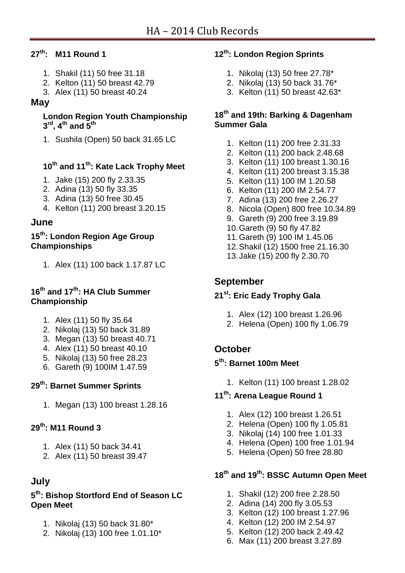## **27th: M11 Round 1**

- 1. Shakil (11) 50 free 31.18
- 2. Kelton (11) 50 breast 42.79
- 3. Alex (11) 50 breast 40.24

## **May**

#### **London Region Youth Championship 3 rd, 4th and 5th**

1. Sushila (Open) 50 back 31.65 LC

# **10th and 11th: Kate Lack Trophy Meet**

- 1. Jake (15) 200 fly 2.33.35
- 2. Adina (13) 50 fly 33.35
- 3. Adina (13) 50 free 30.45
- 4. Kelton (11) 200 breast 3.20.15

# **June**

## **15th: London Region Age Group Championships**

1. Alex (11) 100 back 1.17.87 LC

### **16th and 17th: HA Club Summer Championship**

- 1. Alex (11) 50 fly 35.64
- 2. Nikolaj (13) 50 back 31.89
- 3. Megan (13) 50 breast 40.71
- 4. Alex (11) 50 breast 40.10
- 5. Nikolaj (13) 50 free 28.23
- 6. Gareth (9) 100IM 1.47.59

# **29th: Barnet Summer Sprints**

1. Megan (13) 100 breast 1.28.16

# **29th: M11 Round 3**

- 1. Alex (11) 50 back 34.41
- 2. Alex (11) 50 breast 39.47

# **July**

#### **5 th: Bishop Stortford End of Season LC Open Meet**

- 1. Nikolaj (13) 50 back 31.80\*
- 2. Nikolaj (13) 100 free 1.01.10\*

## **12th: London Region Sprints**

- 1. Nikolaj (13) 50 free 27.78\*
- 2. Nikolaj (13) 50 back 31.76\*
- 3. Kelton (11) 50 breast 42.63\*

#### **18th and 19th: Barking & Dagenham Summer Gala**

- 1. Kelton (11) 200 free 2.31.33
- 2. Kelton (11) 200 back 2.48.68
- 3. Kelton (11) 100 breast 1.30.16
- 4. Kelton (11) 200 breast 3.15.38
- 5. Kelton (11) 100 IM 1.20.58
- 6. Kelton (11) 200 IM 2.54.77
- 7. Adina (13) 200 free 2.26.27
- 8. Nicola (Open) 800 free 10.34.89
- 9. Gareth (9) 200 free 3.19.89
- 10.Gareth (9) 50 fly 47.82
- 11.Gareth (9) 100 IM 1.45.06
- 12.Shakil (12) 1500 free 21.16.30
- 13.Jake (15) 200 fly 2.30.70

# **September**

# **21st: Eric Eady Trophy Gala**

- 1. Alex (12) 100 breast 1.26.96
- 2. Helena (Open) 100 fly 1.06.79

# **October**

## **5 th: Barnet 100m Meet**

1. Kelton (11) 100 breast 1.28.02

## **11th: Arena League Round 1**

- 1. Alex (12) 100 breast 1.26.51
- 2. Helena (Open) 100 fly 1.05.81
- 3. Nikolaj (14) 100 free 1.01.33
- 4. Helena (Open) 100 free 1.01.94
- 5. Helena (Open) 50 free 28.80

# **18th and 19th: BSSC Autumn Open Meet**

- 1. Shakil (12) 200 free 2.28.50
- 2. Adina (14) 200 fly 3.05.53
- 3. Kelton (12) 100 breast 1.27.96
- 4. Kelton (12) 200 IM 2.54.97
- 5. Kelton (12) 200 back 2.49.42
- 6. Max (11) 200 breast 3.27.89